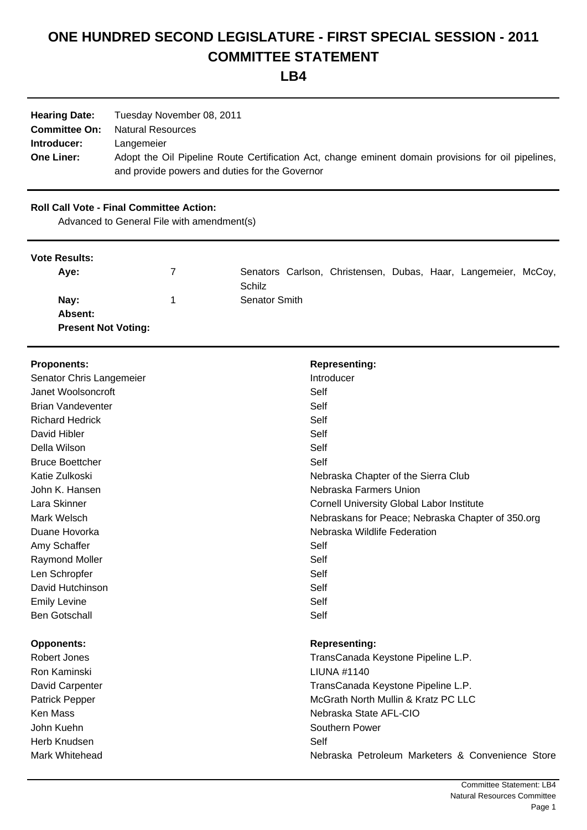# **ONE HUNDRED SECOND LEGISLATURE - FIRST SPECIAL SESSION - 2011 COMMITTEE STATEMENT**

**LB4**

| <b>Hearing Date:</b> | Tuesday November 08, 2011                                                                           |
|----------------------|-----------------------------------------------------------------------------------------------------|
| <b>Committee On:</b> | Natural Resources                                                                                   |
| Introducer:          | Langemeier                                                                                          |
| <b>One Liner:</b>    | Adopt the Oil Pipeline Route Certification Act, change eminent domain provisions for oil pipelines, |
|                      | and provide powers and duties for the Governor                                                      |

# **Roll Call Vote - Final Committee Action:**

Advanced to General File with amendment(s)

# **Vote Results:**

| Ave:                       | Senators Carlson, Christensen, Dubas, Haar, Langemeier, McCoy, |
|----------------------------|----------------------------------------------------------------|
|                            | Schilz                                                         |
| Nay:                       | Senator Smith                                                  |
| <b>Absent:</b>             |                                                                |
| <b>Present Not Voting:</b> |                                                                |

| <b>Proponents:</b>       | <b>Representing:</b>                              |
|--------------------------|---------------------------------------------------|
| Senator Chris Langemeier | Introducer                                        |
| Janet Woolsoncroft       | Self                                              |
| <b>Brian Vandeventer</b> | Self                                              |
| <b>Richard Hedrick</b>   | Self                                              |
| David Hibler             | Self                                              |
| Della Wilson             | Self                                              |
| <b>Bruce Boettcher</b>   | Self                                              |
| Katie Zulkoski           | Nebraska Chapter of the Sierra Club               |
| John K. Hansen           | Nebraska Farmers Union                            |
| Lara Skinner             | <b>Cornell University Global Labor Institute</b>  |
| Mark Welsch              | Nebraskans for Peace; Nebraska Chapter of 350.org |
| Duane Hovorka            | Nebraska Wildlife Federation                      |
| Amy Schaffer             | Self                                              |
| Raymond Moller           | Self                                              |
| Len Schropfer            | Self                                              |
| David Hutchinson         | Self                                              |
| <b>Emily Levine</b>      | Self                                              |
| <b>Ben Gotschall</b>     | Self                                              |
| <b>Opponents:</b>        | <b>Representing:</b>                              |
| Robert Jones             | TransCanada Keystone Pipeline L.P.                |
| Ron Kaminski             | <b>LIUNA #1140</b>                                |
| David Carpenter          | TransCanada Keystone Pipeline L.P.                |
| Patrick Pepper           | McGrath North Mullin & Kratz PC LLC               |
| <b>Ken Mass</b>          | Nebraska State AFL-CIO                            |
| John Kuehn               | Southern Power                                    |
| Herb Knudsen             | Self                                              |
| <b>Mark Whitehead</b>    | Nebraska Petroleum Marketers & Convenience Store  |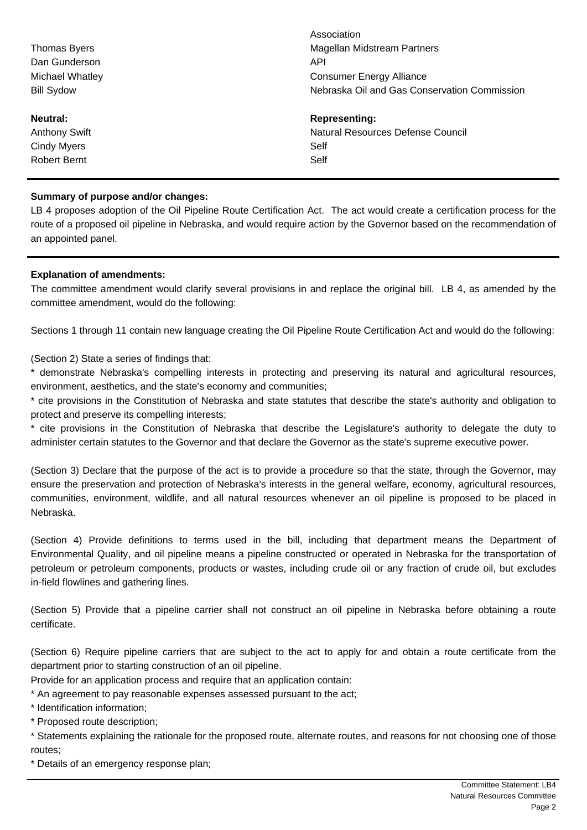|                      | Association                                  |
|----------------------|----------------------------------------------|
| <b>Thomas Byers</b>  | Magellan Midstream Partners                  |
| Dan Gunderson        | API                                          |
| Michael Whatley      | <b>Consumer Energy Alliance</b>              |
| <b>Bill Sydow</b>    | Nebraska Oil and Gas Conservation Commission |
| Neutral:             | <b>Representing:</b>                         |
| <b>Anthony Swift</b> | Natural Resources Defense Council            |
| <b>Cindy Myers</b>   | Self                                         |
| Robert Bernt         | Self                                         |
|                      |                                              |

# **Summary of purpose and/or changes:**

LB 4 proposes adoption of the Oil Pipeline Route Certification Act. The act would create a certification process for the route of a proposed oil pipeline in Nebraska, and would require action by the Governor based on the recommendation of an appointed panel.

# **Explanation of amendments:**

The committee amendment would clarify several provisions in and replace the original bill. LB 4, as amended by the committee amendment, would do the following:

Sections 1 through 11 contain new language creating the Oil Pipeline Route Certification Act and would do the following:

(Section 2) State a series of findings that:

\* demonstrate Nebraska's compelling interests in protecting and preserving its natural and agricultural resources, environment, aesthetics, and the state's economy and communities;

\* cite provisions in the Constitution of Nebraska and state statutes that describe the state's authority and obligation to protect and preserve its compelling interests;

\* cite provisions in the Constitution of Nebraska that describe the Legislature's authority to delegate the duty to administer certain statutes to the Governor and that declare the Governor as the state's supreme executive power.

(Section 3) Declare that the purpose of the act is to provide a procedure so that the state, through the Governor, may ensure the preservation and protection of Nebraska's interests in the general welfare, economy, agricultural resources, communities, environment, wildlife, and all natural resources whenever an oil pipeline is proposed to be placed in Nebraska.

(Section 4) Provide definitions to terms used in the bill, including that department means the Department of Environmental Quality, and oil pipeline means a pipeline constructed or operated in Nebraska for the transportation of petroleum or petroleum components, products or wastes, including crude oil or any fraction of crude oil, but excludes in-field flowlines and gathering lines.

(Section 5) Provide that a pipeline carrier shall not construct an oil pipeline in Nebraska before obtaining a route certificate.

(Section 6) Require pipeline carriers that are subject to the act to apply for and obtain a route certificate from the department prior to starting construction of an oil pipeline.

Provide for an application process and require that an application contain:

\* An agreement to pay reasonable expenses assessed pursuant to the act;

\* Identification information;

\* Proposed route description;

\* Statements explaining the rationale for the proposed route, alternate routes, and reasons for not choosing one of those routes;

\* Details of an emergency response plan;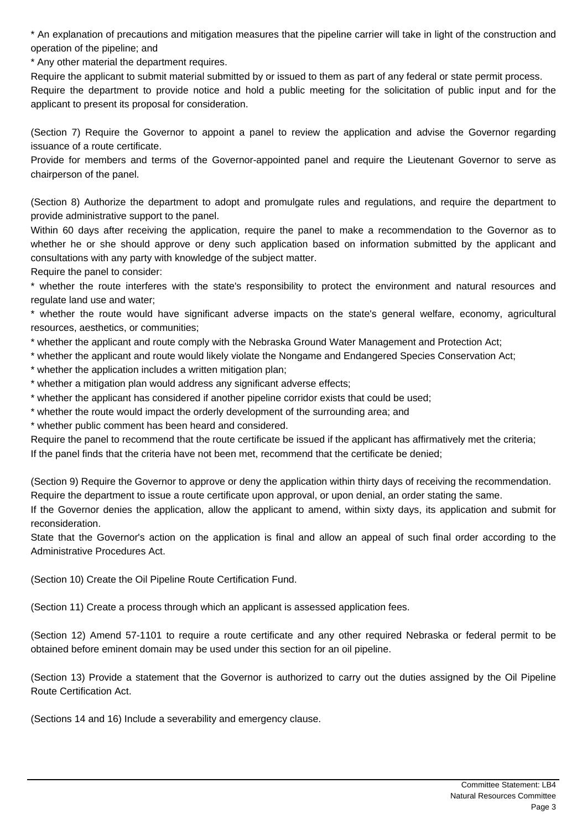\* An explanation of precautions and mitigation measures that the pipeline carrier will take in light of the construction and operation of the pipeline; and

\* Any other material the department requires.

Require the applicant to submit material submitted by or issued to them as part of any federal or state permit process.

Require the department to provide notice and hold a public meeting for the solicitation of public input and for the applicant to present its proposal for consideration.

(Section 7) Require the Governor to appoint a panel to review the application and advise the Governor regarding issuance of a route certificate.

Provide for members and terms of the Governor-appointed panel and require the Lieutenant Governor to serve as chairperson of the panel.

(Section 8) Authorize the department to adopt and promulgate rules and regulations, and require the department to provide administrative support to the panel.

Within 60 days after receiving the application, require the panel to make a recommendation to the Governor as to whether he or she should approve or deny such application based on information submitted by the applicant and consultations with any party with knowledge of the subject matter.

Require the panel to consider:

\* whether the route interferes with the state's responsibility to protect the environment and natural resources and regulate land use and water;

\* whether the route would have significant adverse impacts on the state's general welfare, economy, agricultural resources, aesthetics, or communities;

\* whether the applicant and route comply with the Nebraska Ground Water Management and Protection Act;

- \* whether the applicant and route would likely violate the Nongame and Endangered Species Conservation Act;
- \* whether the application includes a written mitigation plan;
- \* whether a mitigation plan would address any significant adverse effects;
- \* whether the applicant has considered if another pipeline corridor exists that could be used;
- \* whether the route would impact the orderly development of the surrounding area; and
- \* whether public comment has been heard and considered.

Require the panel to recommend that the route certificate be issued if the applicant has affirmatively met the criteria; If the panel finds that the criteria have not been met, recommend that the certificate be denied;

(Section 9) Require the Governor to approve or deny the application within thirty days of receiving the recommendation. Require the department to issue a route certificate upon approval, or upon denial, an order stating the same.

If the Governor denies the application, allow the applicant to amend, within sixty days, its application and submit for reconsideration.

State that the Governor's action on the application is final and allow an appeal of such final order according to the Administrative Procedures Act.

(Section 10) Create the Oil Pipeline Route Certification Fund.

(Section 11) Create a process through which an applicant is assessed application fees.

(Section 12) Amend 57-1101 to require a route certificate and any other required Nebraska or federal permit to be obtained before eminent domain may be used under this section for an oil pipeline.

(Section 13) Provide a statement that the Governor is authorized to carry out the duties assigned by the Oil Pipeline Route Certification Act.

(Sections 14 and 16) Include a severability and emergency clause.